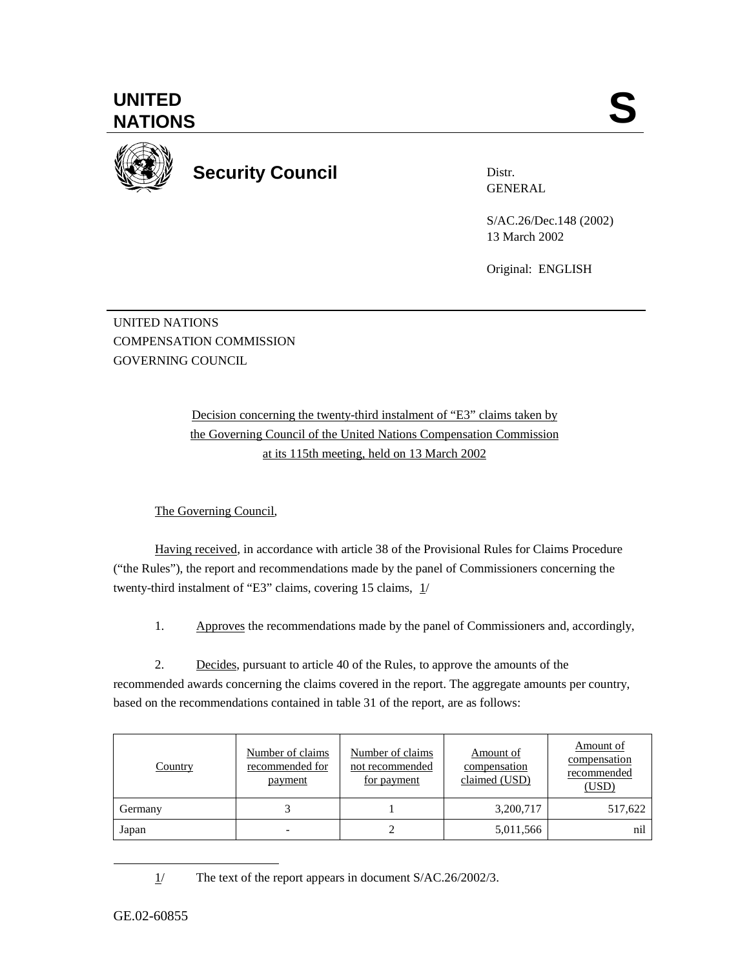$\overline{a}$ 



**UNITED** 

**Security Council** 

Distr. **GENERAL** 

S/AC.26/Dec.148 (2002) 13 March 2002

Original: ENGLISH

UNITED NATIONS COMPENSATION COMMISSION GOVERNING COUNCIL

> Decision concerning the twenty-third instalment of "E3" claims taken by the Governing Council of the United Nations Compensation Commission at its 115th meeting, held on 13 March 2002

The Governing Council,

Having received, in accordance with article 38 of the Provisional Rules for Claims Procedure ("the Rules"), the report and recommendations made by the panel of Commissioners concerning the twenty-third instalment of "E3" claims, covering 15 claims, 1/

1. Approves the recommendations made by the panel of Commissioners and, accordingly,

2. Decides, pursuant to article 40 of the Rules, to approve the amounts of the recommended awards concerning the claims covered in the report. The aggregate amounts per country, based on the recommendations contained in table 31 of the report, are as follows:

| Country | Number of claims<br>recommended for<br>payment | Number of claims<br>not recommended<br>for payment | Amount of<br>compensation<br>claimed (USD) | Amount of<br>compensation<br>recommended<br>(USD) |
|---------|------------------------------------------------|----------------------------------------------------|--------------------------------------------|---------------------------------------------------|
| Germany |                                                |                                                    | 3,200,717                                  | 517,622                                           |
| Japan   |                                                |                                                    | 5,011,566                                  | nıl                                               |

1/ The text of the report appears in document S/AC.26/2002/3.